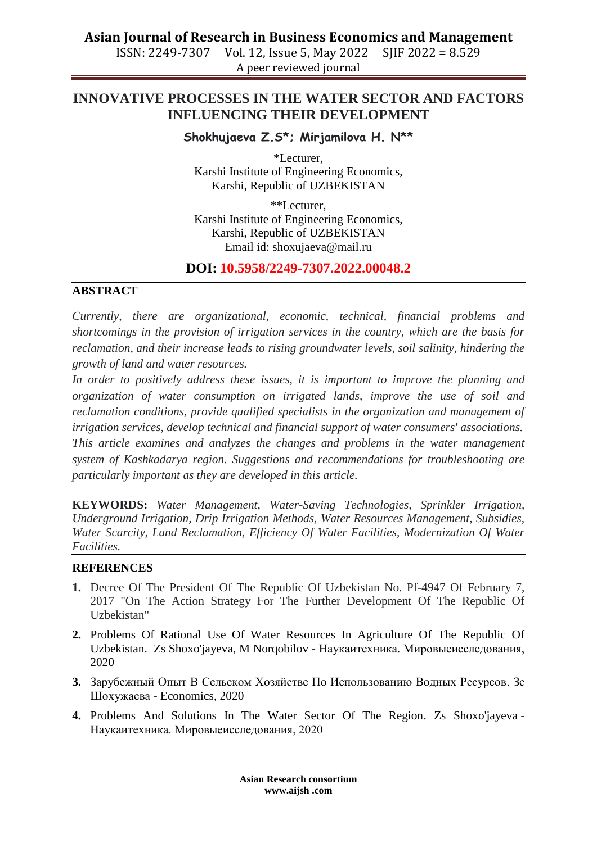### **Asian Journal of Research in Business Economics and Management**

ISSN: 2249-7307 Vol. 12, Issue 5, May 2022 SJIF 2022 = 8.529 A peer reviewed journal

# **INNOVATIVE PROCESSES IN THE WATER SECTOR AND FACTORS INFLUENCING THEIR DEVELOPMENT**

#### **Shokhujaeva Z.S\*; Mirjamilova H. N\*\***

\*Lecturer, Karshi Institute of Engineering Economics, Karshi, Republic of UZBEKISTAN

\*\*Lecturer, Karshi Institute of Engineering Economics, Karshi, Republic of UZBEKISTAN Email id: [shoxujaeva@mail.ru](mailto:shoxujaeva@mail.ru)

## **DOI: 10.5958/2249-7307.2022.00048.2**

#### **ABSTRACT**

*Currently, there are organizational, economic, technical, financial problems and shortcomings in the provision of irrigation services in the country, which are the basis for reclamation, and their increase leads to rising groundwater levels, soil salinity, hindering the growth of land and water resources.*

*In order to positively address these issues, it is important to improve the planning and organization of water consumption on irrigated lands, improve the use of soil and reclamation conditions, provide qualified specialists in the organization and management of irrigation services, develop technical and financial support of water consumers' associations. This article examines and analyzes the changes and problems in the water management system of Kashkadarya region. Suggestions and recommendations for troubleshooting are particularly important as they are developed in this article.*

**KEYWORDS:** *Water Management, Water-Saving Technologies, Sprinkler Irrigation, Underground Irrigation, Drip Irrigation Methods, Water Resources Management, Subsidies, Water Scarcity, Land Reclamation, Efficiency Of Water Facilities, Modernization Of Water Facilities.*

#### **REFERENCES**

- **1.** Decree Of The President Of The Republic Of Uzbekistan No. Pf-4947 Of February 7, 2017 "On The Action Strategy For The Further Development Of The Republic Of Uzbekistan"
- **2.** [Problems Of Rational Use Of Water Resources In Agriculture Of The Republic Of](https://scholar.google.com/scholar?oi=bibs&cluster=6607790190047069066&btnI=1&hl=ru)  [Uzbekistan.](https://scholar.google.com/scholar?oi=bibs&cluster=6607790190047069066&btnI=1&hl=ru) Zs Shoxo'jayeva, M Norqobilov - Наукаитехника. Мировыеисследования, 2020
- **3.** [Зарубежный Опыт В Сельском Хозяйстве По Использованию Водных Ресурсов.](https://scholar.google.com/scholar?oi=bibs&cluster=18149600658059632641&btnI=1&hl=ru) Зс Шохужаева - Economics, 2020
- **4.** [Problems And Solutions In The Water Sector Of The Region.](https://scholar.google.com/scholar?oi=bibs&cluster=16527903556951154207&btnI=1&hl=ru) Zs Shoxo'jayeva Наукаитехника. Мировыеисследования, 2020

**Asian Research consortium www.aijsh .com**